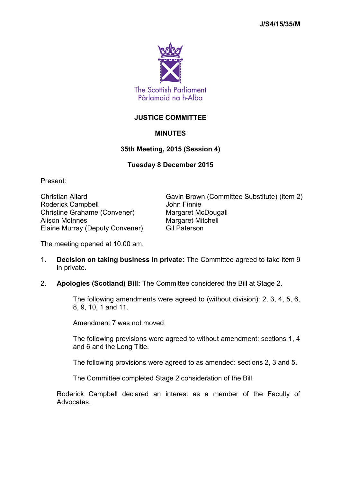

## **JUSTICE COMMITTEE**

# **MINUTES**

## **35th Meeting, 2015 (Session 4)**

## **Tuesday 8 December 2015**

Present:

Roderick Campbell **Campbell** John Finnie Christine Grahame (Convener) Margaret McDougall Alison McInnes Margaret Mitchell Elaine Murray (Deputy Convener) Gil Paterson

Christian Allard Gavin Brown (Committee Substitute) (item 2)

The meeting opened at 10.00 am.

1. **Decision on taking business in private:** The Committee agreed to take item 9 in private.

## 2. **Apologies (Scotland) Bill:** The Committee considered the Bill at Stage 2.

The following amendments were agreed to (without division): 2, 3, 4, 5, 6, 8, 9, 10, 1 and 11.

Amendment 7 was not moved.

The following provisions were agreed to without amendment: sections 1, 4 and 6 and the Long Title.

The following provisions were agreed to as amended: sections 2, 3 and 5.

The Committee completed Stage 2 consideration of the Bill.

Roderick Campbell declared an interest as a member of the Faculty of Advocates.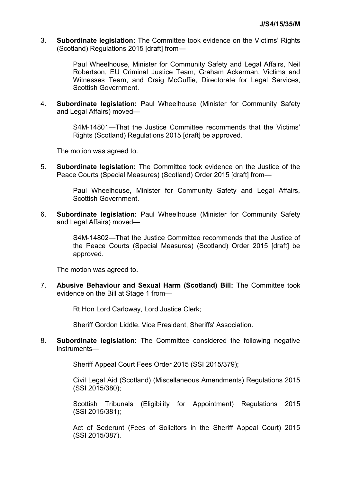3. **Subordinate legislation:** The Committee took evidence on the Victims' Rights (Scotland) Regulations 2015 [draft] from—

> Paul Wheelhouse, Minister for Community Safety and Legal Affairs, Neil Robertson, EU Criminal Justice Team, Graham Ackerman, Victims and Witnesses Team, and Craig McGuffie, Directorate for Legal Services, Scottish Government.

4. **Subordinate legislation:** Paul Wheelhouse (Minister for Community Safety and Legal Affairs) moved—

> S4M-14801—That the Justice Committee recommends that the Victims' Rights (Scotland) Regulations 2015 [draft] be approved.

The motion was agreed to.

5. **Subordinate legislation:** The Committee took evidence on the Justice of the Peace Courts (Special Measures) (Scotland) Order 2015 [draft] from—

> Paul Wheelhouse, Minister for Community Safety and Legal Affairs, Scottish Government.

6. **Subordinate legislation:** Paul Wheelhouse (Minister for Community Safety and Legal Affairs) moved—

> S4M-14802—That the Justice Committee recommends that the Justice of the Peace Courts (Special Measures) (Scotland) Order 2015 [draft] be approved.

The motion was agreed to.

7. **Abusive Behaviour and Sexual Harm (Scotland) Bill:** The Committee took evidence on the Bill at Stage 1 from—

Rt Hon Lord Carloway, Lord Justice Clerk;

Sheriff Gordon Liddle, Vice President, Sheriffs' Association.

8. **Subordinate legislation:** The Committee considered the following negative instruments—

Sheriff Appeal Court Fees Order 2015 (SSI 2015/379);

Civil Legal Aid (Scotland) (Miscellaneous Amendments) Regulations 2015 (SSI 2015/380);

Scottish Tribunals (Eligibility for Appointment) Regulations 2015 (SSI 2015/381);

Act of Sederunt (Fees of Solicitors in the Sheriff Appeal Court) 2015 (SSI 2015/387).